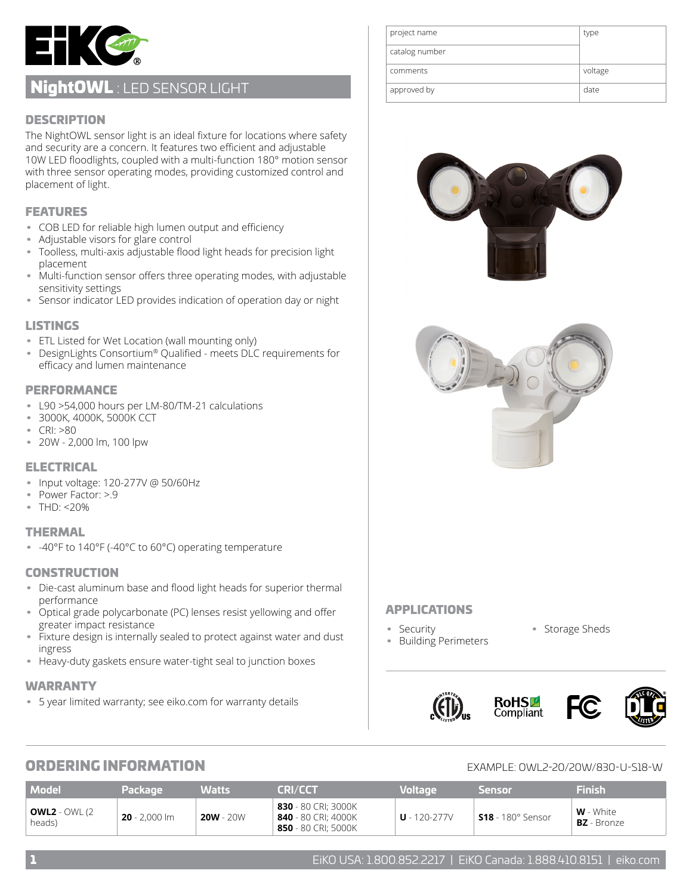

# NightOWL : LED SENSOR LIGHT

### **DESCRIPTION**

The NightOWL sensor light is an ideal fixture for locations where safety and security are a concern. It features two efficient and adjustable 10W LED floodlights, coupled with a multi-function 180° motion sensor with three sensor operating modes, providing customized control and placement of light.

### FEATURES

- COB LED for reliable high lumen output and efficiency
- Adjustable visors for glare control
- Toolless, multi-axis adjustable flood light heads for precision light placement
- Multi-function sensor offers three operating modes, with adjustable sensitivity settings
- Sensor indicator LED provides indication of operation day or night

#### LISTINGS

- ETL Listed for Wet Location (wall mounting only)
- DesignLights Consortium® Qualified meets DLC requirements for efficacy and lumen maintenance

#### PERFORMANCE

- L90 >54,000 hours per LM-80/TM-21 calculations
- 3000K, 4000K, 5000K CCT
- CRI: >80
- 20W 2,000 lm, 100 lpw

#### ELECTRICAL

- Input voltage: 120-277V @ 50/60Hz
- Power Factor: >.9
- THD: <20%

#### THERMAL

• -40°F to 140°F (-40°C to 60°C) operating temperature

#### **CONSTRUCTION**

- Die-cast aluminum base and flood light heads for superior thermal performance
- Optical grade polycarbonate (PC) lenses resist yellowing and offer greater impact resistance
- Fixture design is internally sealed to protect against water and dust ingress
- Heavy-duty gaskets ensure water-tight seal to junction boxes

#### WARRANTY

• 5 year limited warranty; see eiko.com for warranty details

| project name   | type    |
|----------------|---------|
| catalog number |         |
| comments       | voltage |
| approved by    | date    |





### APPLICATIONS

• Security

- Storage Sheds
- Building Perimeters
- 



# **ORDERING INFORMATION**

| EXAMPLE: 0WL2-20/20W/830-U-S18-W |
|----------------------------------|
|                                  |

| <b>Model</b>                    | Package         | Watts       | <b>CRI/CCT</b>                                                    | <b>Voltage</b>   | Sensor                   | Finish                            |
|---------------------------------|-----------------|-------------|-------------------------------------------------------------------|------------------|--------------------------|-----------------------------------|
| <b>OWL2</b> - OWL (2)<br>heads) | $20 - 2.000$ lm | $20W - 20W$ | 830 - 80 CRI; 3000K<br>840 - 80 CRI; 4000K<br>850 - 80 CRI; 5000K | $U - 120 - 277V$ | <b>S18</b> - 180° Sensor | $W$ - White<br><b>BZ</b> - Bronze |